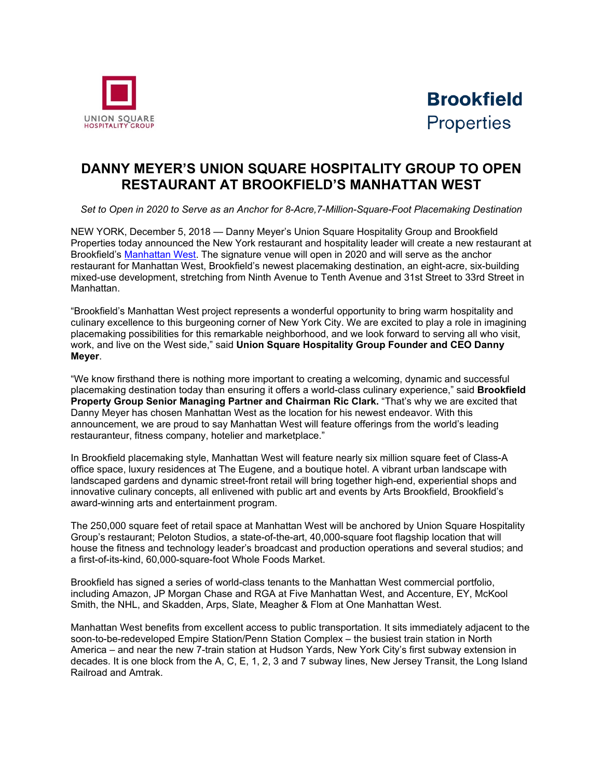



## **DANNY MEYER'S UNION SQUARE HOSPITALITY GROUP TO OPEN RESTAURANT AT BROOKFIELD'S MANHATTAN WEST**

*Set to Open in 2020 to Serve as an Anchor for 8-Acre,7-Million-Square-Foot Placemaking Destination*

NEW YORK, December 5, 2018 — Danny Meyer's Union Square Hospitality Group and Brookfield Properties today announced the New York restaurant and hospitality leader will create a new restaurant at Brookfield's [Manhattan West.](https://www.manhattanwestnyc.com/) The signature venue will open in 2020 and will serve as the anchor restaurant for Manhattan West, Brookfield's newest placemaking destination, an eight-acre, six-building mixed-use development, stretching from Ninth Avenue to Tenth Avenue and 31st Street to 33rd Street in Manhattan.

"Brookfield's Manhattan West project represents a wonderful opportunity to bring warm hospitality and culinary excellence to this burgeoning corner of New York City. We are excited to play a role in imagining placemaking possibilities for this remarkable neighborhood, and we look forward to serving all who visit, work, and live on the West side," said **Union Square Hospitality Group Founder and CEO Danny Meyer**.

"We know firsthand there is nothing more important to creating a welcoming, dynamic and successful placemaking destination today than ensuring it offers a world-class culinary experience," said **Brookfield Property Group Senior Managing Partner and Chairman Ric Clark.** "That's why we are excited that Danny Meyer has chosen Manhattan West as the location for his newest endeavor. With this announcement, we are proud to say Manhattan West will feature offerings from the world's leading restauranteur, fitness company, hotelier and marketplace."

In Brookfield placemaking style, Manhattan West will feature nearly six million square feet of Class-A office space, luxury residences at The Eugene, and a boutique hotel. A vibrant urban landscape with landscaped gardens and dynamic street-front retail will bring together high-end, experiential shops and innovative culinary concepts, all enlivened with public art and events by Arts Brookfield, Brookfield's award-winning arts and entertainment program.

The 250,000 square feet of retail space at Manhattan West will be anchored by Union Square Hospitality Group's restaurant; Peloton Studios, a state-of-the-art, 40,000-square foot flagship location that will house the fitness and technology leader's broadcast and production operations and several studios; and a first-of-its-kind, 60,000-square-foot Whole Foods Market.

Brookfield has signed a series of world-class tenants to the Manhattan West commercial portfolio, including Amazon, JP Morgan Chase and RGA at Five Manhattan West, and Accenture, EY, McKool Smith, the NHL, and Skadden, Arps, Slate, Meagher & Flom at One Manhattan West.

Manhattan West benefits from excellent access to public transportation. It sits immediately adjacent to the soon-to-be-redeveloped Empire Station/Penn Station Complex – the busiest train station in North America – and near the new 7-train station at Hudson Yards, New York City's first subway extension in decades. It is one block from the A, C, E, 1, 2, 3 and 7 subway lines, New Jersey Transit, the Long Island Railroad and Amtrak.